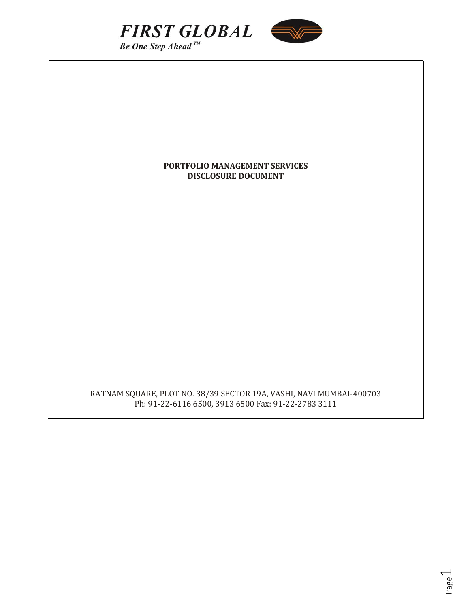



## **PORTFOLIO MANAGEMENT SERVICES DISCLOSURE DOCUMENT**

RATNAM SQUARE, PLOT NO. 38/39 SECTOR 19A, VASHI, NAVI MUMBAI-400703 Ph: 91-22-6116 6500, 3913 6500 Fax: 91-22-2783 3111

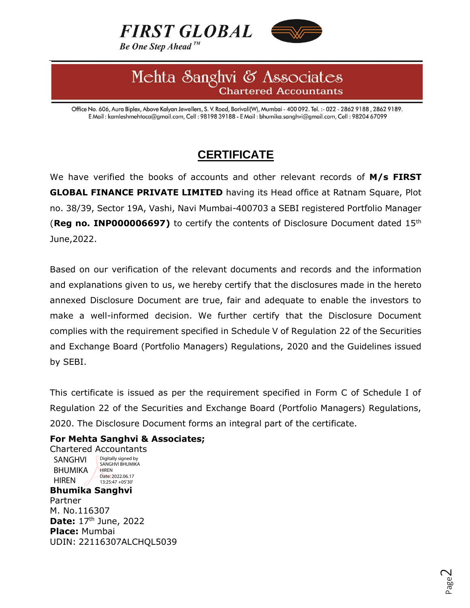



# Mehta Sanghvi & Associates Chartered Accountants

Office No. 606, Aura Biplex, Above Kalyan Jewellers, S. V. Road, Borivali(W), Mumbai - 400 092. Tel. :- 022 - 2862 9188, 2862 9189. E Mail: kamleshmehtaca@gmail.com, Cell: 98198 39188 - E Mail: bhumika.sanghvi@gmail.com, Cell: 98204 67099

# **CERTIFICATE**

We have verified the books of accounts and other relevant records of **M/s FIRST GLOBAL FINANCE PRIVATE LIMITED** having its Head office at Ratnam Square, Plot no. 38/39, Sector 19A, Vashi, Navi Mumbai-400703 a SEBI registered Portfolio Manager (**Reg no. INP000006697)** to certify the contents of Disclosure Document dated 15th June,2022.

Based on our verification of the relevant documents and records and the information and explanations given to us, we hereby certify that the disclosures made in the hereto annexed Disclosure Document are true, fair and adequate to enable the investors to make a well-informed decision. We further certify that the Disclosure Document complies with the requirement specified in Schedule V of Regulation 22 of the Securities and Exchange Board (Portfolio Managers) Regulations, 2020 and the Guidelines issued by SEBI.

This certificate is issued as per the requirement specified in Form C of Schedule I of Regulation 22 of the Securities and Exchange Board (Portfolio Managers) Regulations, 2020. The Disclosure Document forms an integral part of the certificate.

# **For Mehta Sanghvi & Associates;**

Chartered Accountants **Bhumika Sanghvi** Partner M. No.116307 **Date:** 17<sup>th</sup> June, 2022 **Place:** Mumbai UDIN: 22116307ALCHQL5039 SANGHVI BHUMIKA HIREN Digitally signed by SANGHVI BHUMIKA **HIREN** Date: 2022.06.17 13:25:47 +05'30'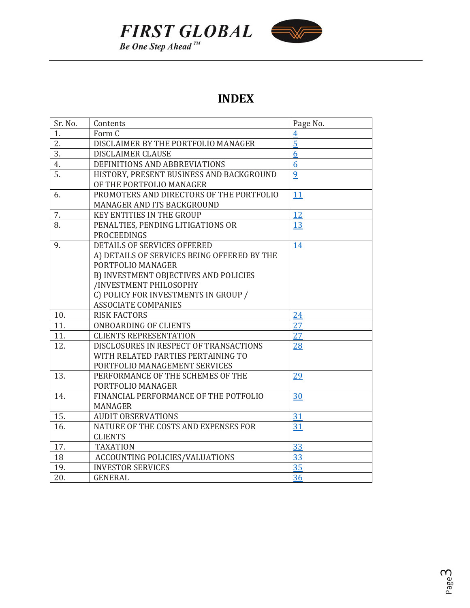



# **INDEX**

| Sr. No. | Contents                                    | Page No.       |
|---------|---------------------------------------------|----------------|
| 1.      | Form C                                      | $\overline{4}$ |
| 2.      | DISCLAIMER BY THE PORTFOLIO MANAGER         | $\overline{5}$ |
| 3.      | <b>DISCLAIMER CLAUSE</b>                    | 6              |
| 4.      | DEFINITIONS AND ABBREVIATIONS               | 6              |
| 5.      | HISTORY, PRESENT BUSINESS AND BACKGROUND    | $\overline{9}$ |
|         | OF THE PORTFOLIO MANAGER                    |                |
| 6.      | PROMOTERS AND DIRECTORS OF THE PORTFOLIO    | 11             |
|         | MANAGER AND ITS BACKGROUND                  |                |
| 7.      | <b>KEY ENTITIES IN THE GROUP</b>            | 12             |
| 8.      | PENALTIES, PENDING LITIGATIONS OR           | 13             |
|         | <b>PROCEEDINGS</b>                          |                |
| 9.      | <b>DETAILS OF SERVICES OFFERED</b>          | 14             |
|         | A) DETAILS OF SERVICES BEING OFFERED BY THE |                |
|         | PORTFOLIO MANAGER                           |                |
|         | B) INVESTMENT OBJECTIVES AND POLICIES       |                |
|         | /INVESTMENT PHILOSOPHY                      |                |
|         | C) POLICY FOR INVESTMENTS IN GROUP /        |                |
|         | <b>ASSOCIATE COMPANIES</b>                  |                |
| 10.     | <b>RISK FACTORS</b>                         | 24             |
| 11.     | <b>ONBOARDING OF CLIENTS</b>                | 27             |
| 11.     | <b>CLIENTS REPRESENTATION</b>               | 27             |
| 12.     | DISCLOSURES IN RESPECT OF TRANSACTIONS      | 28             |
|         | WITH RELATED PARTIES PERTAINING TO          |                |
|         | PORTFOLIO MANAGEMENT SERVICES               |                |
| 13.     | PERFORMANCE OF THE SCHEMES OF THE           | 29             |
|         | PORTFOLIO MANAGER                           |                |
| 14.     | FINANCIAL PERFORMANCE OF THE POTFOLIO       | 30             |
|         | <b>MANAGER</b>                              |                |
| 15.     | <b>AUDIT OBSERVATIONS</b>                   | 31             |
| 16.     | NATURE OF THE COSTS AND EXPENSES FOR        | 31             |
|         | <b>CLIENTS</b>                              |                |
| 17.     | <b>TAXATION</b>                             | 33             |
| 18      | ACCOUNTING POLICIES/VALUATIONS              | 33             |
| 19.     | <b>INVESTOR SERVICES</b>                    | 35             |
| 20.     | <b>GENERAL</b>                              | 36             |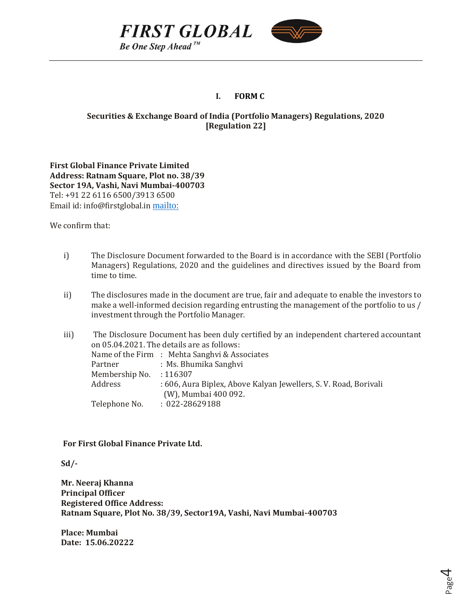



## **I. FORM C**

# <span id="page-3-0"></span>**Securities & Exchange Board of India (Portfolio Managers) Regulations, 2020 [Regulation 22]**

**First Global Finance Private Limited Address: Ratnam Square, Plot no. 38/39 Sector 19A, Vashi, Navi Mumbai-400703** Tel: +91 22 6116 6500/3913 6500 Email id: info@firstglobal.in <mailto:>

We confirm that:

- i) The Disclosure Document forwarded to the Board is in accordance with the SEBI (Portfolio Managers) Regulations, 2020 and the guidelines and directives issued by the Board from time to time.
- ii) The disclosures made in the document are true, fair and adequate to enable the investors to make a well-informed decision regarding entrusting the management of the portfolio to us / investment through the Portfolio Manager.

| iii) |                         | The Disclosure Document has been duly certified by an independent chartered accountant |
|------|-------------------------|----------------------------------------------------------------------------------------|
|      |                         | on 05.04.2021. The details are as follows:                                             |
|      |                         | Name of the Firm : Mehta Sanghvi & Associates                                          |
|      | Partner                 | : Ms. Bhumika Sanghvi                                                                  |
|      | Membership No. : 116307 |                                                                                        |
|      | Address                 | : 606, Aura Biplex, Above Kalyan Jewellers, S. V. Road, Borivali                       |
|      |                         | (W), Mumbai 400 092.                                                                   |
|      | Telephone No.           | $: 022 - 28629188$                                                                     |
|      |                         |                                                                                        |

**For First Global Finance Private Ltd.**

 **Sd/-**

 **Mr. Neeraj Khanna Principal Officer Registered Office Address: Ratnam Square, Plot No. 38/39, Sector19A, Vashi, Navi Mumbai-400703**

 **Place: Mumbai Date: 15.06.20222**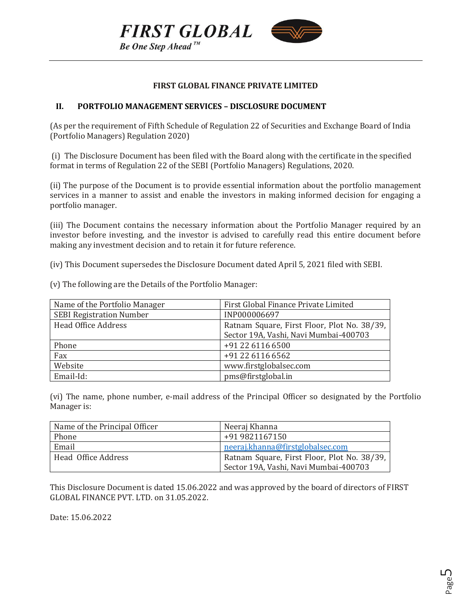



#### **FIRST GLOBAL FINANCE PRIVATE LIMITED**

#### <span id="page-4-0"></span>**II. PORTFOLIO MANAGEMENT SERVICES – DISCLOSURE DOCUMENT**

(As per the requirement of Fifth Schedule of Regulation 22 of Securities and Exchange Board of India (Portfolio Managers) Regulation 2020)

(i) The Disclosure Document has been filed with the Board along with the certificate in the specified format in terms of Regulation 22 of the SEBI (Portfolio Managers) Regulations, 2020.

(ii) The purpose of the Document is to provide essential information about the portfolio management services in a manner to assist and enable the investors in making informed decision for engaging a portfolio manager.

(iii) The Document contains the necessary information about the Portfolio Manager required by an investor before investing, and the investor is advised to carefully read this entire document before making any investment decision and to retain it for future reference.

(iv) This Document supersedes the Disclosure Document dated April 5, 2021 filed with SEBI.

(v) The following are the Details of the Portfolio Manager:

| Name of the Portfolio Manager   | First Global Finance Private Limited        |
|---------------------------------|---------------------------------------------|
| <b>SEBI Registration Number</b> | INP000006697                                |
| <b>Head Office Address</b>      | Ratnam Square, First Floor, Plot No. 38/39, |
|                                 | Sector 19A, Vashi, Navi Mumbai-400703       |
| Phone                           | +91 22 6116 6500                            |
| Fax                             | +91 22 6116 6562                            |
| Website                         | www.firstglobalsec.com                      |
| Email-Id:                       | pms@firstglobal.in                          |

(vi) The name, phone number, e-mail address of the Principal Officer so designated by the Portfolio Manager is:

| Name of the Principal Officer | Neeraj Khanna                               |
|-------------------------------|---------------------------------------------|
| Phone                         | +91 9821167150                              |
| Email                         | neeraj.khanna@firstglobalsec.com            |
| Head Office Address           | Ratnam Square, First Floor, Plot No. 38/39, |
|                               | Sector 19A, Vashi, Navi Mumbai-400703       |

This Disclosure Document is dated 15.06.2022 and was approved by the board of directors of FIRST GLOBAL FINANCE PVT. LTD. on 31.05.2022.

Date: 15.06.2022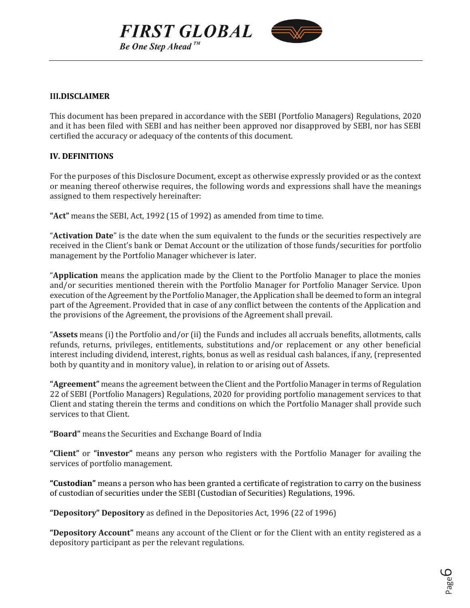



#### <span id="page-5-0"></span>**III.DISCLAIMER**

This document has been prepared in accordance with the SEBI (Portfolio Managers) Regulations, 2020 and it has been filed with SEBI and has neither been approved nor disapproved by SEBI, nor has SEBI certified the accuracy or adequacy of the contents of this document.

## **IV. DEFINITIONS**

For the purposes of this Disclosure Document, except as otherwise expressly provided or as the context or meaning thereof otherwise requires, the following words and expressions shall have the meanings assigned to them respectively hereinafter:

**"Act"** means the SEBI, Act, 1992 (15 of 1992) as amended from time to time.

"**Activation Date**" is the date when the sum equivalent to the funds or the securities respectively are received in the Client's bank or Demat Account or the utilization of those funds/securities for portfolio management by the Portfolio Manager whichever is later.

"**Application** means the application made by the Client to the Portfolio Manager to place the monies and/or securities mentioned therein with the Portfolio Manager for Portfolio Manager Service. Upon execution of the Agreement by the Portfolio Manager, the Application shall be deemed to form an integral part of the Agreement. Provided that in case of any conflict between the contents of the Application and the provisions of the Agreement, the provisions of the Agreement shall prevail.

"**Assets** means (i) the Portfolio and/or (ii) the Funds and includes all accruals benefits, allotments, calls refunds, returns, privileges, entitlements, substitutions and/or replacement or any other beneficial interest including dividend, interest, rights, bonus as well as residual cash balances, if any, (represented both by quantity and in monitory value), in relation to or arising out of Assets.

**"Agreement"** means the agreement between the Client and the Portfolio Manager in terms of Regulation 22 of SEBI (Portfolio Managers) Regulations, 2020 for providing portfolio management services to that Client and stating therein the terms and conditions on which the Portfolio Manager shall provide such services to that Client.

**"Board"** means the Securities and Exchange Board of India

**"Client"** or **"investor"** means any person who registers with the Portfolio Manager for availing the services of portfolio management.

**"Custodian"** means a person who has been granted a certificate of registration to carry on the business of custodian of securities under the SEBI (Custodian of Securities) Regulations, 1996.

**"Depository" Depository** as defined in the Depositories Act, 1996 (22 of 1996)

**"Depository Account"** means any account of the Client or for the Client with an entity registered as a depository participant as per the relevant regulations.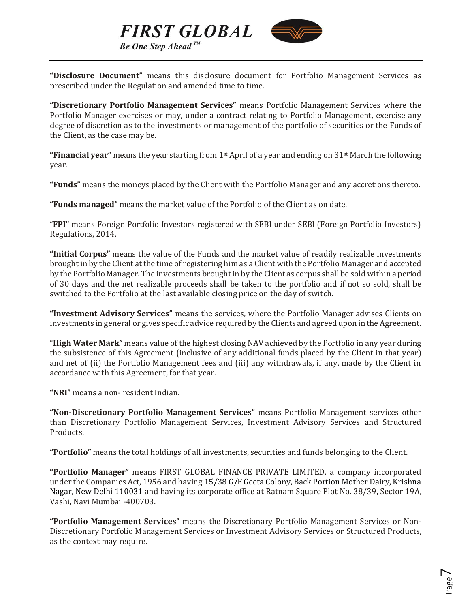



**"Disclosure Document"** means this disclosure document for Portfolio Management Services as prescribed under the Regulation and amended time to time.

**"Discretionary Portfolio Management Services"** means Portfolio Management Services where the Portfolio Manager exercises or may, under a contract relating to Portfolio Management, exercise any degree of discretion as to the investments or management of the portfolio of securities or the Funds of the Client, as the case may be.

**"Financial year"** means the year starting from 1<sup>st</sup> April of a year and ending on 31<sup>st</sup> March the following year.

**"Funds"** means the moneys placed by the Client with the Portfolio Manager and any accretions thereto.

**"Funds managed"** means the market value of the Portfolio of the Client as on date.

"**FPI"** means Foreign Portfolio Investors registered with SEBI under SEBI (Foreign Portfolio Investors) Regulations, 2014.

**"Initial Corpus"** means the value of the Funds and the market value of readily realizable investments brought in by the Client at the time of registering him as a Client with the Portfolio Manager and accepted by the Portfolio Manager. The investments brought in by the Client as corpus shall be sold within a period of 30 days and the net realizable proceeds shall be taken to the portfolio and if not so sold, shall be switched to the Portfolio at the last available closing price on the day of switch.

**"Investment Advisory Services"** means the services, where the Portfolio Manager advises Clients on investments in general or gives specific advice required by the Clients and agreed upon in the Agreement.

"**High Water Mark"** means value of the highest closing NAV achieved by the Portfolio in any year during the subsistence of this Agreement (inclusive of any additional funds placed by the Client in that year) and net of (ii) the Portfolio Management fees and (iii) any withdrawals, if any, made by the Client in accordance with this Agreement, for that year.

**"NRI"** means a non- resident Indian.

**"Non-Discretionary Portfolio Management Services"** means Portfolio Management services other than Discretionary Portfolio Management Services, Investment Advisory Services and Structured Products.

**"Portfolio"** means the total holdings of all investments, securities and funds belonging to the Client.

**"Portfolio Manager"** means FIRST GLOBAL FINANCE PRIVATE LIMITED, a company incorporated under the Companies Act, 1956 and having 15/38 G/F Geeta Colony, Back Portion Mother Dairy, Krishna Nagar, New Delhi 110031 and having its corporate office at Ratnam Square Plot No. 38/39, Sector 19A, Vashi, Navi Mumbai -400703.

**"Portfolio Management Services"** means the Discretionary Portfolio Management Services or Non-Discretionary Portfolio Management Services or Investment Advisory Services or Structured Products, as the context may require.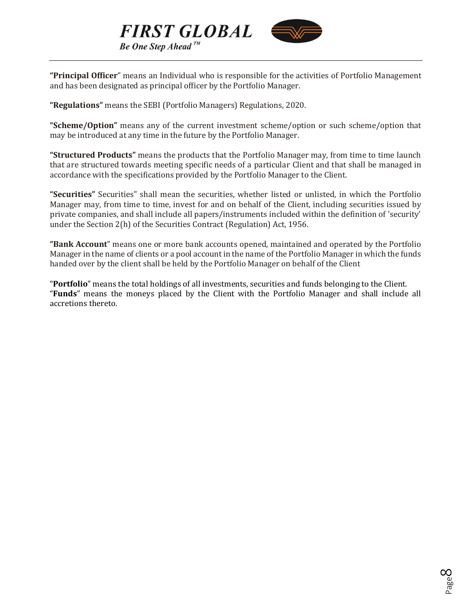



**"Principal Officer**" means an Individual who is responsible for the activities of Portfolio Management and has been designated as principal officer by the Portfolio Manager.

**"Regulations"** means the SEBI (Portfolio Managers) Regulations, 2020.

**"Scheme/Option"** means any of the current investment scheme/option or such scheme/option that may be introduced at any time in the future by the Portfolio Manager.

**"Structured Products"** means the products that the Portfolio Manager may, from time to time launch that are structured towards meeting specific needs of a particular Client and that shall be managed in accordance with the specifications provided by the Portfolio Manager to the Client.

**"Securities"** Securities" shall mean the securities, whether listed or unlisted, in which the Portfolio Manager may, from time to time, invest for and on behalf of the Client, including securities issued by private companies, and shall include all papers/instruments included within the definition of 'security' under the Section 2(h) of the Securities Contract (Regulation) Act, 1956.

**"Bank Account**" means one or more bank accounts opened, maintained and operated by the Portfolio Manager in the name of clients or a pool account in the name of the Portfolio Manager in which the funds handed over by the client shall be held by the Portfolio Manager on behalf of the Client

"**Portfolio**" means the total holdings of all investments, securities and funds belonging to the Client. "**Funds**" means the moneys placed by the Client with the Portfolio Manager and shall include all accretions thereto.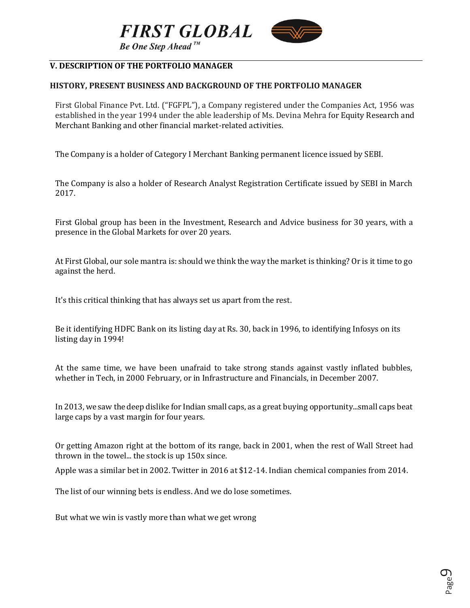



# <span id="page-8-0"></span>**V. DESCRIPTION OF THE PORTFOLIO MANAGER**

## **HISTORY, PRESENT BUSINESS AND BACKGROUND OF THE PORTFOLIO MANAGER**

First Global Finance Pvt. Ltd. ("FGFPL"), a Company registered under the Companies Act, 1956 was established in the year 1994 under the able leadership of Ms. Devina Mehra for Equity Research and Merchant Banking and other financial market-related activities.

The Company is a holder of Category I Merchant Banking permanent licence issued by SEBI.

The Company is also a holder of Research Analyst Registration Certificate issued by SEBI in March 2017.

First Global group has been in the Investment, Research and Advice business for 30 years, with a presence in the Global Markets for over 20 years.

At First Global, our sole mantra is: should we think the way the market is thinking? Or is it time to go against the herd.

It's this critical thinking that has always set us apart from the rest.

Be it identifying HDFC Bank on its listing day at Rs. 30, back in 1996, to identifying Infosys on its listing day in 1994!

At the same time, we have been unafraid to take strong stands against vastly inflated bubbles, whether in Tech, in 2000 February, or in Infrastructure and Financials, in December 2007.

In 2013, we saw the deep dislike for Indian small caps, as a great buying opportunity...small caps beat large caps by a vast margin for four years.

Or getting Amazon right at the bottom of its range, back in 2001, when the rest of Wall Street had thrown in the towel... the stock is up 150x since.

Apple was a similar bet in 2002. Twitter in 2016 at \$12-14. Indian chemical companies from 2014.

The list of our winning bets is endless. And we do lose sometimes.

But what we win is vastly more than what we get wrong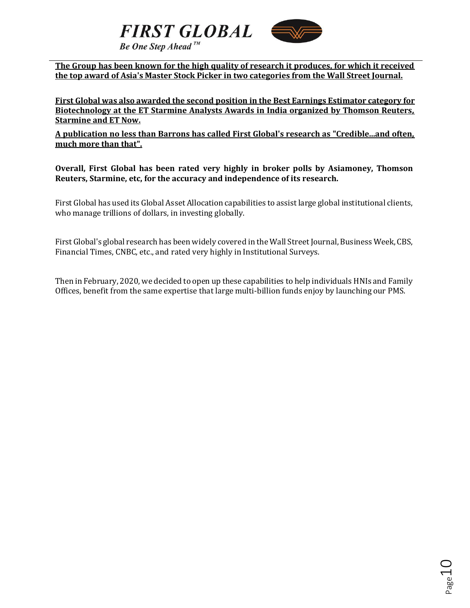



**The Group has been known for the high quality of research it produces, for which it received the top award of Asia's Master Stock Picker in two categories from the Wall Street Journal.**

**First Global was also awarded the second position in the Best Earnings Estimator category for Biotechnology at the ET Starmine Analysts Awards in India organized by Thomson Reuters, Starmine and ET Now.**

**A publication no less than Barrons has called First Global's research as "Credible...and often, much more than that".**

**Overall, First Global has been rated very highly in broker polls by Asiamoney, Thomson Reuters, Starmine, etc, for the accuracy and independence of its research.**

First Global has used its Global Asset Allocation capabilities to assist large global institutional clients, who manage trillions of dollars, in investing globally.

First Global's global research has been widely covered in the Wall Street Journal, Business Week, CBS, Financial Times, CNBC, etc., and rated very highly in Institutional Surveys.

Then in February, 2020, we decided to open up these capabilities to help individuals HNIs and Family Offices, benefit from the same expertise that large multi-billion funds enjoy by launching our PMS.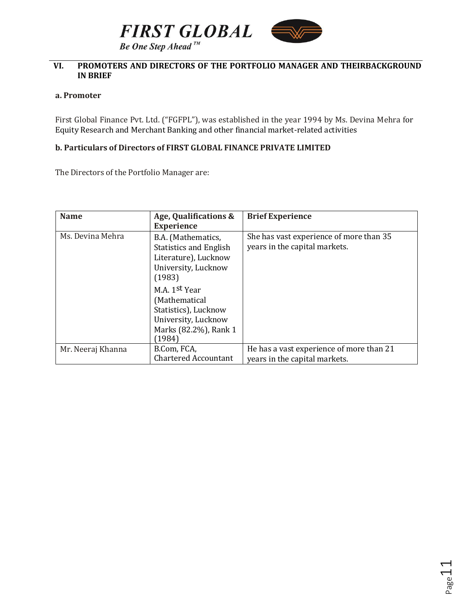



# <span id="page-10-0"></span>**VI. PROMOTERS AND DIRECTORS OF THE PORTFOLIO MANAGER AND THEIRBACKGROUND IN BRIEF**

#### **a. Promoter**

First Global Finance Pvt. Ltd. ("FGFPL"), was established in the year 1994 by Ms. Devina Mehra for Equity Research and Merchant Banking and other financial market-related activities

## **b. Particulars of Directors of FIRST GLOBAL FINANCE PRIVATE LIMITED**

The Directors of the Portfolio Manager are:

| <b>Name</b>       | Age, Qualifications &<br><b>Experience</b>                                                                       | <b>Brief Experience</b>                                                   |
|-------------------|------------------------------------------------------------------------------------------------------------------|---------------------------------------------------------------------------|
| Ms. Devina Mehra  | B.A. (Mathematics,<br><b>Statistics and English</b><br>Literature), Lucknow<br>University, Lucknow<br>(1983)     | She has vast experience of more than 35<br>years in the capital markets.  |
|                   | M.A. 1st Year<br>(Mathematical<br>Statistics), Lucknow<br>University, Lucknow<br>Marks (82.2%), Rank 1<br>(1984) |                                                                           |
| Mr. Neeraj Khanna | B.Com, FCA,<br><b>Chartered Accountant</b>                                                                       | He has a vast experience of more than 21<br>years in the capital markets. |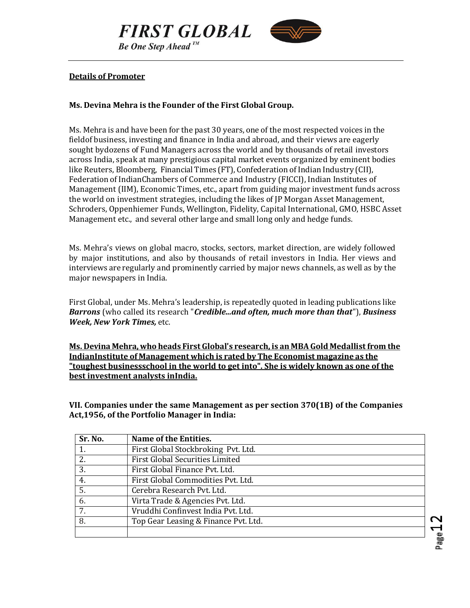



#### **Details of Promoter**

## **Ms. Devina Mehra is the Founder of the First Global Group.**

Ms. Mehra is and have been for the past 30 years, one of the most respected voices in the fieldof business, investing and finance in India and abroad, and their views are eagerly sought bydozens of Fund Managers across the world and by thousands of retail investors across India, speak at many prestigious capital market events organized by eminent bodies like Reuters, Bloomberg, Financial Times (FT), Confederation of Indian Industry (CII), Federation of IndianChambers of Commerce and Industry (FICCI), Indian Institutes of Management (IIM), Economic Times, etc., apart from guiding major investment funds across the world on investment strategies, including the likes of JP Morgan Asset Management, Schroders, Oppenhiemer Funds, Wellington, Fidelity, Capital International, GMO, HSBC Asset Management etc., and several other large and small long only and hedge funds.

Ms. Mehra's views on global macro, stocks, sectors, market direction, are widely followed by major institutions, and also by thousands of retail investors in India. Her views and interviews are regularly and prominently carried by major news channels, as well as by the major newspapers in India.

First Global, under Ms. Mehra's leadership, is repeatedly quoted in leading publications like *Barrons* (who called its research "*Credible...and often, much more than that*"), *Business Week, New York Times,* etc.

**Ms. Devina Mehra, who heads First Global's research, is an MBAGold Medallistfrom the IndianInstitute of Management which is rated by The Economist magazine as the "toughest businessschool in the world to get into". She is widely known as one of the best investment analysts inIndia.**

<span id="page-11-0"></span>**VII. Companies under the same Management as per section 370(1B) of the Companies Act,1956, of the Portfolio Manager in India:**

| Sr. No. | Name of the Entities.                  |
|---------|----------------------------------------|
|         | First Global Stockbroking Pvt. Ltd.    |
| 2.      | <b>First Global Securities Limited</b> |
| 3.      | First Global Finance Pvt. Ltd.         |
| 4.      | First Global Commodities Pvt. Ltd.     |
| 5.      | Cerebra Research Pvt. Ltd.             |
| 6.      | Virta Trade & Agencies Pvt. Ltd.       |
| 7.      | Vruddhi Confinyest India Pvt. Ltd.     |
| 8.      | Top Gear Leasing & Finance Pvt. Ltd.   |
|         |                                        |

Page1.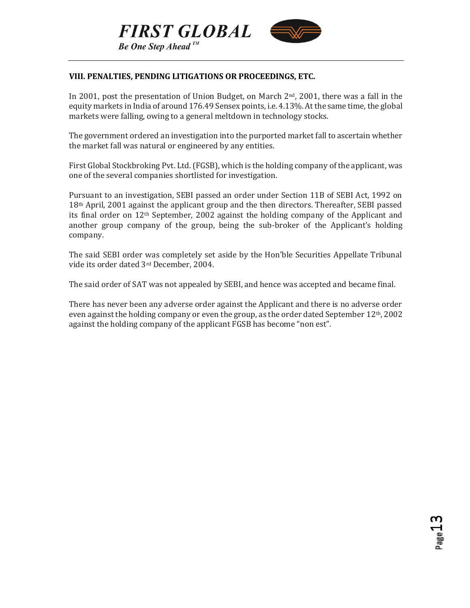



# <span id="page-12-0"></span>**VIII. PENALTIES, PENDING LITIGATIONS OR PROCEEDINGS, ETC.**

In 2001, post the presentation of Union Budget, on March  $2<sup>nd</sup>$ , 2001, there was a fall in the equity markets in India of around 176.49 Sensex points, i.e. 4.13%. At the same time, the global markets were falling, owing to a general meltdown in technology stocks.

The government ordered an investigation into the purported market fall to ascertain whether the market fall was natural or engineered by any entities.

First Global Stockbroking Pvt. Ltd.(FGSB), which is the holding company of the applicant, was one of the several companies shortlisted for investigation.

Pursuant to an investigation, SEBI passed an order under Section 11B of SEBI Act, 1992 on 18th April, 2001 against the applicant group and the then directors. Thereafter, SEBI passed its final order on 12th September, 2002 against the holding company of the Applicant and another group company of the group, being the sub-broker of the Applicant's holding company.

The said SEBI order was completely set aside by the Hon'ble Securities Appellate Tribunal vide its order dated 3rd December, 2004.

The said order of SAT was not appealed by SEBI, and hence was accepted and became final.

There has never been any adverse order against the Applicant and there is no adverse order even against the holding company or even the group, as the order dated September  $12<sup>th</sup>$ , 2002 against the holding company of the applicant FGSB has become "non est".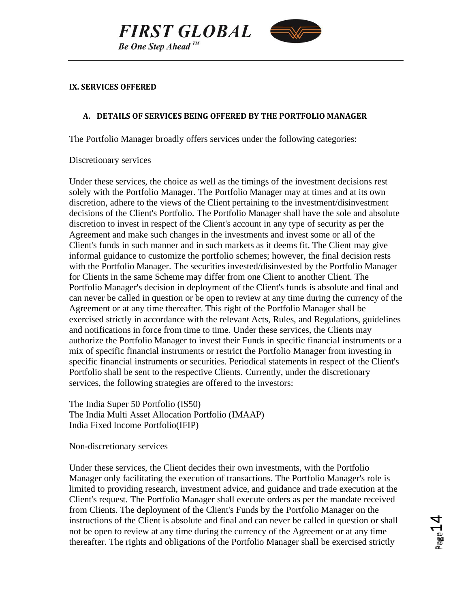



#### <span id="page-13-0"></span>**IX. SERVICES OFFERED**

## **A. DETAILS OF SERVICES BEING OFFERED BY THE PORTFOLIO MANAGER**

The Portfolio Manager broadly offers services under the following categories:

Discretionary services

Under these services, the choice as well as the timings of the investment decisions rest solely with the Portfolio Manager. The Portfolio Manager may at times and at its own discretion, adhere to the views of the Client pertaining to the investment/disinvestment decisions of the Client's Portfolio. The Portfolio Manager shall have the sole and absolute discretion to invest in respect of the Client's account in any type of security as per the Agreement and make such changes in the investments and invest some or all of the Client's funds in such manner and in such markets as it deems fit. The Client may give informal guidance to customize the portfolio schemes; however, the final decision rests with the Portfolio Manager. The securities invested/disinvested by the Portfolio Manager for Clients in the same Scheme may differ from one Client to another Client. The Portfolio Manager's decision in deployment of the Client's funds is absolute and final and can never be called in question or be open to review at any time during the currency of the Agreement or at any time thereafter. This right of the Portfolio Manager shall be exercised strictly in accordance with the relevant Acts, Rules, and Regulations, guidelines and notifications in force from time to time. Under these services, the Clients may authorize the Portfolio Manager to invest their Funds in specific financial instruments or a mix of specific financial instruments or restrict the Portfolio Manager from investing in specific financial instruments or securities. Periodical statements in respect of the Client's Portfolio shall be sent to the respective Clients. Currently, under the discretionary services, the following strategies are offered to the investors:

The India Super 50 Portfolio (IS50) The India Multi Asset Allocation Portfolio (IMAAP) India Fixed Income Portfolio(IFIP)

#### Non-discretionary services

Under these services, the Client decides their own investments, with the Portfolio Manager only facilitating the execution of transactions. The Portfolio Manager's role is limited to providing research, investment advice, and guidance and trade execution at the Client's request. The Portfolio Manager shall execute orders as per the mandate received from Clients. The deployment of the Client's Funds by the Portfolio Manager on the instructions of the Client is absolute and final and can never be called in question or shall not be open to review at any time during the currency of the Agreement or at any time thereafter. The rights and obligations of the Portfolio Manager shall be exercised strictly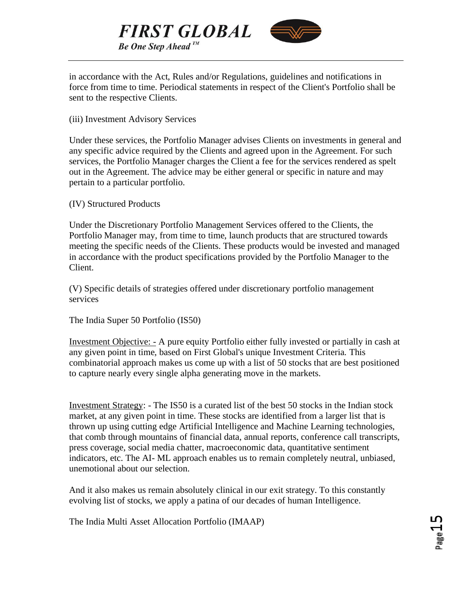



in accordance with the Act, Rules and/or Regulations, guidelines and notifications in force from time to time. Periodical statements in respect of the Client's Portfolio shall be sent to the respective Clients.

(iii) Investment Advisory Services

Under these services, the Portfolio Manager advises Clients on investments in general and any specific advice required by the Clients and agreed upon in the Agreement. For such services, the Portfolio Manager charges the Client a fee for the services rendered as spelt out in the Agreement. The advice may be either general or specific in nature and may pertain to a particular portfolio.

(IV) Structured Products

Under the Discretionary Portfolio Management Services offered to the Clients, the Portfolio Manager may, from time to time, launch products that are structured towards meeting the specific needs of the Clients. These products would be invested and managed in accordance with the product specifications provided by the Portfolio Manager to the Client.

(V) Specific details of strategies offered under discretionary portfolio management services

The India Super 50 Portfolio (IS50)

Investment Objective: - A pure equity Portfolio either fully invested or partially in cash at any given point in time, based on First Global's unique Investment Criteria. This combinatorial approach makes us come up with a list of 50 stocks that are best positioned to capture nearly every single alpha generating move in the markets.

Investment Strategy: - The IS50 is a curated list of the best 50 stocks in the Indian stock market, at any given point in time. These stocks are identified from a larger list that is thrown up using cutting edge Artificial Intelligence and Machine Learning technologies, that comb through mountains of financial data, annual reports, conference call transcripts, press coverage, social media chatter, macroeconomic data, quantitative sentiment indicators, etc. The AI- ML approach enables us to remain completely neutral, unbiased, unemotional about our selection.

And it also makes us remain absolutely clinical in our exit strategy. To this constantly evolving list of stocks, we apply a patina of our decades of human Intelligence.

The India Multi Asset Allocation Portfolio (IMAAP)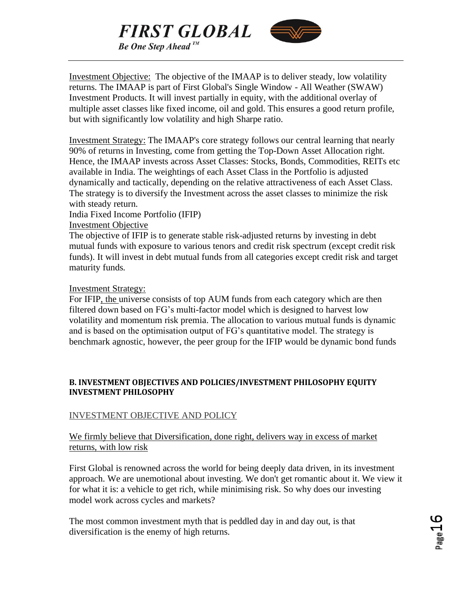



Investment Objective: The objective of the IMAAP is to deliver steady, low volatility returns. The IMAAP is part of First Global's Single Window - All Weather (SWAW) Investment Products. It will invest partially in equity, with the additional overlay of multiple asset classes like fixed income, oil and gold. This ensures a good return profile, but with significantly low volatility and high Sharpe ratio.

Investment Strategy: The IMAAP's core strategy follows our central learning that nearly 90% of returns in Investing, come from getting the Top-Down Asset Allocation right. Hence, the IMAAP invests across Asset Classes: Stocks, Bonds, Commodities, REITs etc available in India. The weightings of each Asset Class in the Portfolio is adjusted dynamically and tactically, depending on the relative attractiveness of each Asset Class. The strategy is to diversify the Investment across the asset classes to minimize the risk with steady return.

India Fixed Income Portfolio (IFIP) Investment Objective

The objective of IFIP is to generate stable risk-adjusted returns by investing in debt mutual funds with exposure to various tenors and credit risk spectrum (except credit risk funds). It will invest in debt mutual funds from all categories except credit risk and target maturity funds.

# Investment Strategy:

For IFIP, the universe consists of top AUM funds from each category which are then filtered down based on FG's multi-factor model which is designed to harvest low volatility and momentum risk premia. The allocation to various mutual funds is dynamic and is based on the optimisation output of FG's quantitative model. The strategy is benchmark agnostic, however, the peer group for the IFIP would be dynamic bond funds

# **B. INVESTMENT OBJECTIVES AND POLICIES/INVESTMENT PHILOSOPHY EQUITY INVESTMENT PHILOSOPHY**

# INVESTMENT OBJECTIVE AND POLICY

# We firmly believe that Diversification, done right, delivers way in excess of market returns, with low risk

First Global is renowned across the world for being deeply data driven, in its investment approach. We are unemotional about investing. We don't get romantic about it. We view it for what it is: a vehicle to get rich, while minimising risk. So why does our investing model work across cycles and markets?

The most common investment myth that is peddled day in and day out, is that diversification is the enemy of high returns.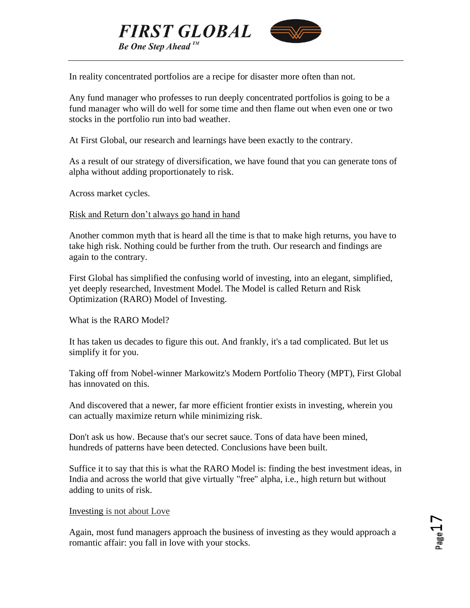

In reality concentrated portfolios are a recipe for disaster more often than not.

Any fund manager who professes to run deeply concentrated portfolios is going to be a fund manager who will do well for some time and then flame out when even one or two stocks in the portfolio run into bad weather.

At First Global, our research and learnings have been exactly to the contrary.

As a result of our strategy of diversification, we have found that you can generate tons of alpha without adding proportionately to risk.

Across market cycles.

# Risk and Return don't always go hand in hand

Another common myth that is heard all the time is that to make high returns, you have to take high risk. Nothing could be further from the truth. Our research and findings are again to the contrary.

First Global has simplified the confusing world of investing, into an elegant, simplified, yet deeply researched, Investment Model. The Model is called Return and Risk Optimization (RARO) Model of Investing.

What is the RARO Model?

It has taken us decades to figure this out. And frankly, it's a tad complicated. But let us simplify it for you.

Taking off from Nobel-winner Markowitz's Modern Portfolio Theory (MPT), First Global has innovated on this.

And discovered that a newer, far more efficient frontier exists in investing, wherein you can actually maximize return while minimizing risk.

Don't ask us how. Because that's our secret sauce. Tons of data have been mined, hundreds of patterns have been detected. Conclusions have been built.

Suffice it to say that this is what the RARO Model is: finding the best investment ideas, in India and across the world that give virtually "free" alpha, i.e., high return but without adding to units of risk.

## Investing is not about Love

Again, most fund managers approach the business of investing as they would approach a romantic affair: you fall in love with your stocks.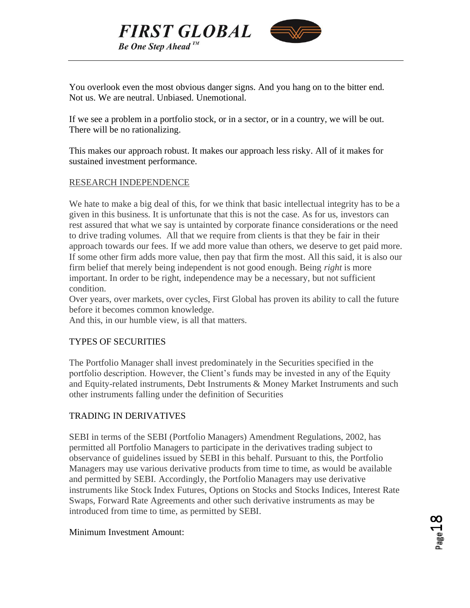



You overlook even the most obvious danger signs. And you hang on to the bitter end. Not us. We are neutral. Unbiased. Unemotional.

If we see a problem in a portfolio stock, or in a sector, or in a country, we will be out. There will be no rationalizing.

This makes our approach robust. It makes our approach less risky. All of it makes for sustained investment performance.

# RESEARCH INDEPENDENCE

We hate to make a big deal of this, for we think that basic intellectual integrity has to be a given in this business. It is unfortunate that this is not the case. As for us, investors can rest assured that what we say is untainted by corporate finance considerations or the need to drive trading volumes. All that we require from clients is that they be fair in their approach towards our fees. If we add more value than others, we deserve to get paid more. If some other firm adds more value, then pay that firm the most. All this said, it is also our firm belief that merely being independent is not good enough. Being *right* is more important. In order to be right, independence may be a necessary, but not sufficient condition.

Over years, over markets, over cycles, First Global has proven its ability to call the future before it becomes common knowledge.

And this, in our humble view, is all that matters.

## TYPES OF SECURITIES

The Portfolio Manager shall invest predominately in the Securities specified in the portfolio description. However, the Client's funds may be invested in any of the Equity and Equity-related instruments, Debt Instruments & Money Market Instruments and such other instruments falling under the definition of Securities

# TRADING IN DERIVATIVES

SEBI in terms of the SEBI (Portfolio Managers) Amendment Regulations, 2002, has permitted all Portfolio Managers to participate in the derivatives trading subject to observance of guidelines issued by SEBI in this behalf. Pursuant to this, the Portfolio Managers may use various derivative products from time to time, as would be available and permitted by SEBI. Accordingly, the Portfolio Managers may use derivative instruments like Stock Index Futures, Options on Stocks and Stocks Indices, Interest Rate Swaps, Forward Rate Agreements and other such derivative instruments as may be introduced from time to time, as permitted by SEBI.

## Minimum Investment Amount: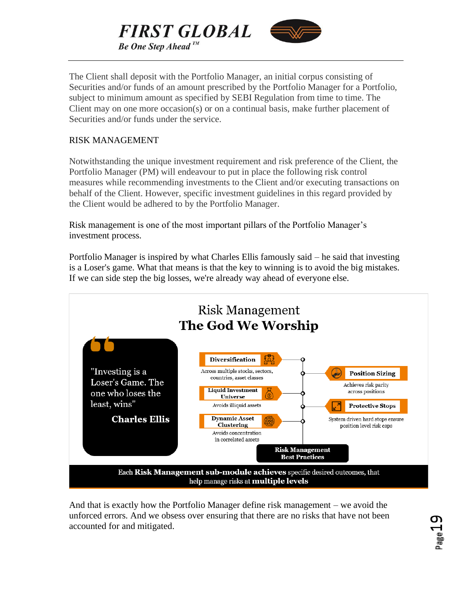



The Client shall deposit with the Portfolio Manager, an initial corpus consisting of Securities and/or funds of an amount prescribed by the Portfolio Manager for a Portfolio, subject to minimum amount as specified by SEBI Regulation from time to time. The Client may on one more occasion(s) or on a continual basis, make further placement of Securities and/or funds under the service.

# RISK MANAGEMENT

Notwithstanding the unique investment requirement and risk preference of the Client, the Portfolio Manager (PM) will endeavour to put in place the following risk control measures while recommending investments to the Client and/or executing transactions on behalf of the Client. However, specific investment guidelines in this regard provided by the Client would be adhered to by the Portfolio Manager.

Risk management is one of the most important pillars of the Portfolio Manager's investment process.

Portfolio Manager is inspired by what Charles Ellis famously said – he said that investing is a Loser's game. What that means is that the key to winning is to avoid the big mistakes. If we can side step the big losses, we're already way ahead of everyone else.



And that is exactly how the Portfolio Manager define risk management – we avoid the unforced errors. And we obsess over ensuring that there are no risks that have not been accounted for and mitigated.

Page19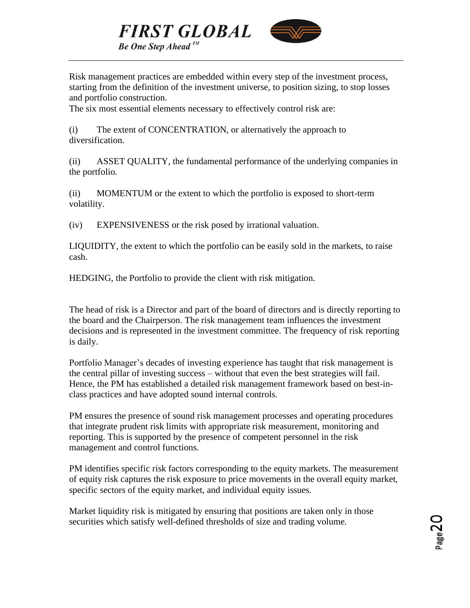



Risk management practices are embedded within every step of the investment process, starting from the definition of the investment universe, to position sizing, to stop losses and portfolio construction.

The six most essential elements necessary to effectively control risk are:

(i) The extent of CONCENTRATION, or alternatively the approach to diversification.

(ii) ASSET QUALITY, the fundamental performance of the underlying companies in the portfolio.

(ii) MOMENTUM or the extent to which the portfolio is exposed to short-term volatility.

(iv) EXPENSIVENESS or the risk posed by irrational valuation.

LIQUIDITY, the extent to which the portfolio can be easily sold in the markets, to raise cash.

HEDGING, the Portfolio to provide the client with risk mitigation.

The head of risk is a Director and part of the board of directors and is directly reporting to the board and the Chairperson. The risk management team influences the investment decisions and is represented in the investment committee. The frequency of risk reporting is daily.

Portfolio Manager's decades of investing experience has taught that risk management is the central pillar of investing success – without that even the best strategies will fail. Hence, the PM has established a detailed risk management framework based on best-inclass practices and have adopted sound internal controls.

PM ensures the presence of sound risk management processes and operating procedures that integrate prudent risk limits with appropriate risk measurement, monitoring and reporting. This is supported by the presence of competent personnel in the risk management and control functions.

PM identifies specific risk factors corresponding to the equity markets. The measurement of equity risk captures the risk exposure to price movements in the overall equity market, specific sectors of the equity market, and individual equity issues.

Market liquidity risk is mitigated by ensuring that positions are taken only in those securities which satisfy well-defined thresholds of size and trading volume.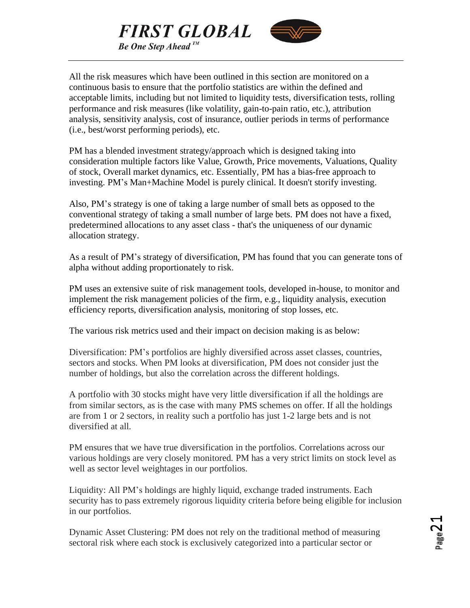



All the risk measures which have been outlined in this section are monitored on a continuous basis to ensure that the portfolio statistics are within the defined and acceptable limits, including but not limited to liquidity tests, diversification tests, rolling performance and risk measures (like volatility, gain-to-pain ratio, etc.), attribution analysis, sensitivity analysis, cost of insurance, outlier periods in terms of performance (i.e., best/worst performing periods), etc.

PM has a blended investment strategy/approach which is designed taking into consideration multiple factors like Value, Growth, Price movements, Valuations, Quality of stock, Overall market dynamics, etc. Essentially, PM has a bias-free approach to investing. PM's Man+Machine Model is purely clinical. It doesn't storify investing.

Also, PM's strategy is one of taking a large number of small bets as opposed to the conventional strategy of taking a small number of large bets. PM does not have a fixed, predetermined allocations to any asset class - that's the uniqueness of our dynamic allocation strategy.

As a result of PM's strategy of diversification, PM has found that you can generate tons of alpha without adding proportionately to risk.

PM uses an extensive suite of risk management tools, developed in-house, to monitor and implement the risk management policies of the firm, e.g., liquidity analysis, execution efficiency reports, diversification analysis, monitoring of stop losses, etc.

The various risk metrics used and their impact on decision making is as below:

Diversification: PM's portfolios are highly diversified across asset classes, countries, sectors and stocks. When PM looks at diversification, PM does not consider just the number of holdings, but also the correlation across the different holdings.

A portfolio with 30 stocks might have very little diversification if all the holdings are from similar sectors, as is the case with many PMS schemes on offer. If all the holdings are from 1 or 2 sectors, in reality such a portfolio has just 1-2 large bets and is not diversified at all.

PM ensures that we have true diversification in the portfolios. Correlations across our various holdings are very closely monitored. PM has a very strict limits on stock level as well as sector level weightages in our portfolios.

Liquidity: All PM's holdings are highly liquid, exchange traded instruments. Each security has to pass extremely rigorous liquidity criteria before being eligible for inclusion in our portfolios.

Dynamic Asset Clustering: PM does not rely on the traditional method of measuring sectoral risk where each stock is exclusively categorized into a particular sector or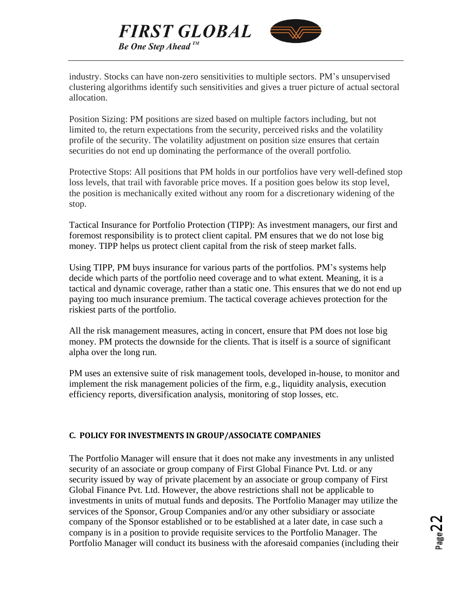



industry. Stocks can have non-zero sensitivities to multiple sectors. PM's unsupervised clustering algorithms identify such sensitivities and gives a truer picture of actual sectoral allocation.

Position Sizing: PM positions are sized based on multiple factors including, but not limited to, the return expectations from the security, perceived risks and the volatility profile of the security. The volatility adjustment on position size ensures that certain securities do not end up dominating the performance of the overall portfolio.

Protective Stops: All positions that PM holds in our portfolios have very well-defined stop loss levels, that trail with favorable price moves. If a position goes below its stop level, the position is mechanically exited without any room for a discretionary widening of the stop.

Tactical Insurance for Portfolio Protection (TIPP): As investment managers, our first and foremost responsibility is to protect client capital. PM ensures that we do not lose big money. TIPP helps us protect client capital from the risk of steep market falls.

Using TIPP, PM buys insurance for various parts of the portfolios. PM's systems help decide which parts of the portfolio need coverage and to what extent. Meaning, it is a tactical and dynamic coverage, rather than a static one. This ensures that we do not end up paying too much insurance premium. The tactical coverage achieves protection for the riskiest parts of the portfolio.

All the risk management measures, acting in concert, ensure that PM does not lose big money. PM protects the downside for the clients. That is itself is a source of significant alpha over the long run.

PM uses an extensive suite of risk management tools, developed in-house, to monitor and implement the risk management policies of the firm, e.g., liquidity analysis, execution efficiency reports, diversification analysis, monitoring of stop losses, etc.

# **C. POLICY FOR INVESTMENTS IN GROUP/ASSOCIATE COMPANIES**

The Portfolio Manager will ensure that it does not make any investments in any unlisted security of an associate or group company of First Global Finance Pvt. Ltd. or any security issued by way of private placement by an associate or group company of First Global Finance Pvt. Ltd. However, the above restrictions shall not be applicable to investments in units of mutual funds and deposits. The Portfolio Manager may utilize the services of the Sponsor, Group Companies and/or any other subsidiary or associate company of the Sponsor established or to be established at a later date, in case such a company is in a position to provide requisite services to the Portfolio Manager. The Portfolio Manager will conduct its business with the aforesaid companies (including their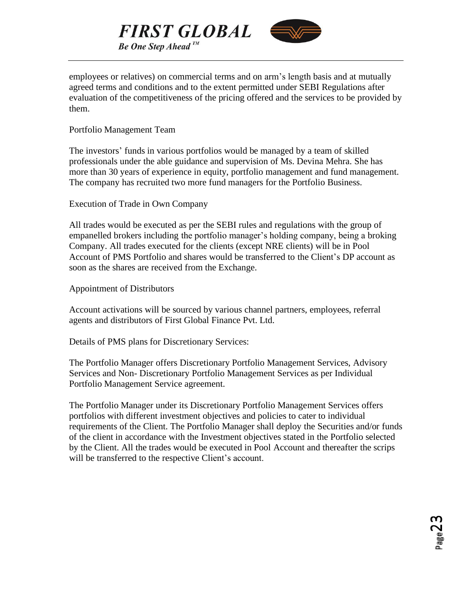



employees or relatives) on commercial terms and on arm's length basis and at mutually agreed terms and conditions and to the extent permitted under SEBI Regulations after evaluation of the competitiveness of the pricing offered and the services to be provided by them.

# Portfolio Management Team

The investors' funds in various portfolios would be managed by a team of skilled professionals under the able guidance and supervision of Ms. Devina Mehra. She has more than 30 years of experience in equity, portfolio management and fund management. The company has recruited two more fund managers for the Portfolio Business.

Execution of Trade in Own Company

All trades would be executed as per the SEBI rules and regulations with the group of empanelled brokers including the portfolio manager's holding company, being a broking Company. All trades executed for the clients (except NRE clients) will be in Pool Account of PMS Portfolio and shares would be transferred to the Client's DP account as soon as the shares are received from the Exchange.

Appointment of Distributors

Account activations will be sourced by various channel partners, employees, referral agents and distributors of First Global Finance Pvt. Ltd.

Details of PMS plans for Discretionary Services:

The Portfolio Manager offers Discretionary Portfolio Management Services, Advisory Services and Non- Discretionary Portfolio Management Services as per Individual Portfolio Management Service agreement.

The Portfolio Manager under its Discretionary Portfolio Management Services offers portfolios with different investment objectives and policies to cater to individual requirements of the Client. The Portfolio Manager shall deploy the Securities and/or funds of the client in accordance with the Investment objectives stated in the Portfolio selected by the Client. All the trades would be executed in Pool Account and thereafter the scrips will be transferred to the respective Client's account.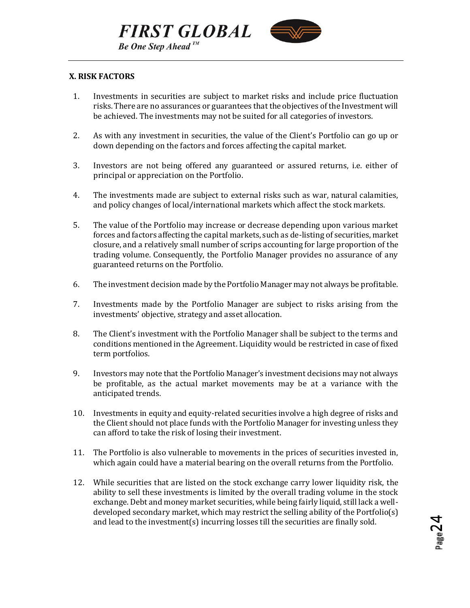



## <span id="page-23-0"></span>**X. RISK FACTORS**

- 1. Investments in securities are subject to market risks and include price fluctuation risks. There are no assurances or guarantees that the objectives of the Investment will be achieved. The investments may not be suited for all categories of investors.
- 2. As with any investment in securities, the value of the Client's Portfolio can go up or down depending on the factors and forces affecting the capital market.
- 3. Investors are not being offered any guaranteed or assured returns, i.e. either of principal or appreciation on the Portfolio.
- 4. The investments made are subject to external risks such as war, natural calamities, and policy changes of local/international markets which affect the stock markets.
- 5. The value of the Portfolio may increase or decrease depending upon various market forces and factors affecting the capital markets, such as de-listing of securities, market closure, and a relatively small number of scrips accounting for large proportion of the trading volume. Consequently, the Portfolio Manager provides no assurance of any guaranteed returns on the Portfolio.
- 6. The investment decision made by the Portfolio Manager may not always be profitable.
- 7. Investments made by the Portfolio Manager are subject to risks arising from the investments' objective, strategy and asset allocation.
- 8. The Client's investment with the Portfolio Manager shall be subject to the terms and conditions mentioned in the Agreement. Liquidity would be restricted in case of fixed term portfolios.
- 9. Investors may note that the Portfolio Manager's investment decisions may not always be profitable, as the actual market movements may be at a variance with the anticipated trends.
- 10. Investments in equity and equity-related securities involve a high degree of risks and the Client should not place funds with the Portfolio Manager for investing unless they can afford to take the risk of losing their investment.
- 11. The Portfolio is also vulnerable to movements in the prices of securities invested in, which again could have a material bearing on the overall returns from the Portfolio.
- 12. While securities that are listed on the stock exchange carry lower liquidity risk, the ability to sell these investments is limited by the overall trading volume in the stock exchange. Debt and money market securities, while being fairly liquid, still lack a welldeveloped secondary market, which may restrict the selling ability of the Portfolio(s) and lead to the investment(s) incurring losses till the securities are finally sold.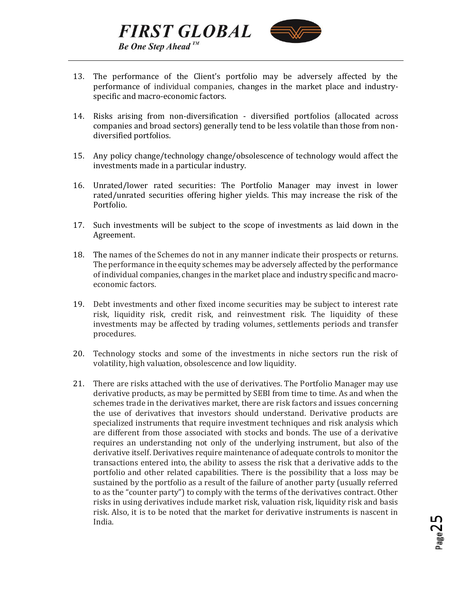

13. The performance of the Client's portfolio may be adversely affected by the performance of individual companies, changes in the market place and industryspecific and macro-economic factors.

**FIRST GLOBAL** 

**Be One Step Ahead**<sup>IM</sup>

- 14. Risks arising from non-diversification diversified portfolios (allocated across companies and broad sectors) generally tend to be less volatile than those from nondiversified portfolios.
- 15. Any policy change/technology change/obsolescence of technology would affect the investments made in a particular industry.
- 16. Unrated/lower rated securities: The Portfolio Manager may invest in lower rated/unrated securities offering higher yields. This may increase the risk of the Portfolio.
- 17. Such investments will be subject to the scope of investments as laid down in the Agreement.
- 18. The names of the Schemes do not in any manner indicate their prospects or returns. The performance in the equity schemes may be adversely affected by the performance of individual companies, changes in the market place and industry specific and macroeconomic factors.
- 19. Debt investments and other fixed income securities may be subject to interest rate risk, liquidity risk, credit risk, and reinvestment risk. The liquidity of these investments may be affected by trading volumes, settlements periods and transfer procedures.
- 20. Technology stocks and some of the investments in niche sectors run the risk of volatility, high valuation, obsolescence and low liquidity.
- 21. There are risks attached with the use of derivatives. The Portfolio Manager may use derivative products, as may be permitted by SEBI from time to time. As and when the schemes trade in the derivatives market, there are risk factors and issues concerning the use of derivatives that investors should understand. Derivative products are specialized instruments that require investment techniques and risk analysis which are different from those associated with stocks and bonds. The use of a derivative requires an understanding not only of the underlying instrument, but also of the derivative itself. Derivatives require maintenance of adequate controls to monitor the transactions entered into, the ability to assess the risk that a derivative adds to the portfolio and other related capabilities. There is the possibility that a loss may be sustained by the portfolio as a result of the failure of another party (usually referred to as the "counter party") to comply with the terms of the derivatives contract. Other risks in using derivatives include market risk, valuation risk, liquidity risk and basis risk. Also, it is to be noted that the market for derivative instruments is nascent in India.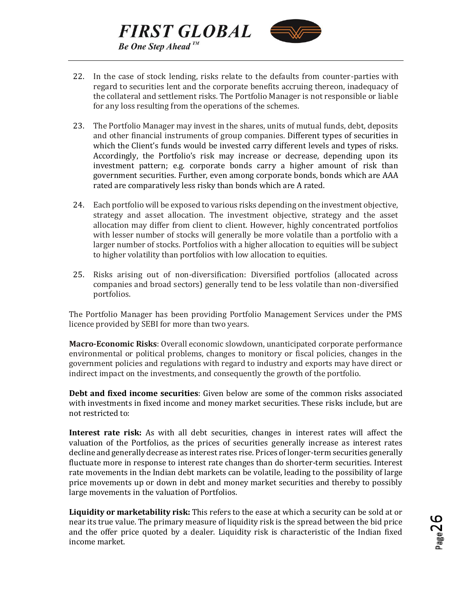

22. In the case of stock lending, risks relate to the defaults from counter-parties with regard to securities lent and the corporate benefits accruing thereon, inadequacy of the collateral and settlement risks. The Portfolio Manager is not responsible or liable for any loss resulting from the operations of the schemes.

**FIRST GLOBAL** 

**Be One Step Ahead**<sup>TM</sup>

- 23. The Portfolio Manager may invest in the shares, units of mutual funds, debt, deposits and other financial instruments of group companies. Different types of securities in which the Client's funds would be invested carry different levels and types of risks. Accordingly, the Portfolio's risk may increase or decrease, depending upon its investment pattern; e.g. corporate bonds carry a higher amount of risk than government securities. Further, even among corporate bonds, bonds which are AAA rated are comparatively less risky than bonds which are A rated.
- 24. Each portfolio will be exposed to various risks depending on the investment objective, strategy and asset allocation. The investment objective, strategy and the asset allocation may differ from client to client. However, highly concentrated portfolios with lesser number of stocks will generally be more volatile than a portfolio with a larger number of stocks. Portfolios with a higher allocation to equities will be subject to higher volatility than portfolios with low allocation to equities.
- 25. Risks arising out of non-diversification: Diversified portfolios (allocated across companies and broad sectors) generally tend to be less volatile than non-diversified portfolios.

The Portfolio Manager has been providing Portfolio Management Services under the PMS licence provided by SEBI for more than two years.

**Macro-Economic Risks**: Overall economic slowdown, unanticipated corporate performance environmental or political problems, changes to monitory or fiscal policies, changes in the government policies and regulations with regard to industry and exports may have direct or indirect impact on the investments, and consequently the growth of the portfolio.

**Debt and fixed income securities**: Given below are some of the common risks associated with investments in fixed income and money market securities. These risks include, but are not restricted to:

**Interest rate risk:** As with all debt securities, changes in interest rates will affect the valuation of the Portfolios, as the prices of securities generally increase as interest rates decline and generally decrease as interest rates rise. Prices of longer-term securities generally fluctuate more in response to interest rate changes than do shorter-term securities. Interest rate movements in the Indian debt markets can be volatile, leading to the possibility of large price movements up or down in debt and money market securities and thereby to possibly large movements in the valuation of Portfolios.

**Liquidity or marketability risk:** This refers to the ease at which a security can be sold at or near its true value. The primary measure of liquidity risk is the spread between the bid price and the offer price quoted by a dealer. Liquidity risk is characteristic of the Indian fixed income market.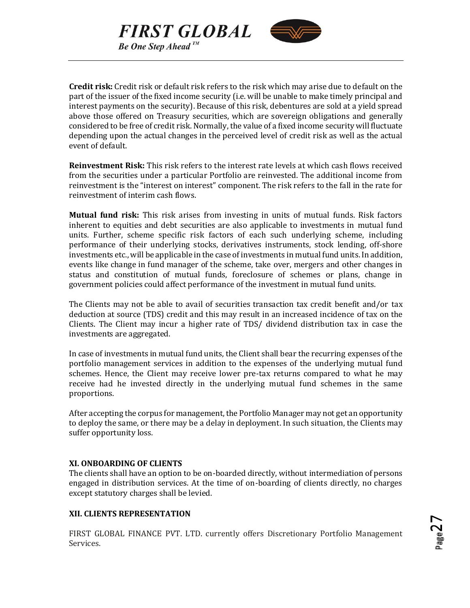



**Credit risk:** Credit risk or default risk refers to the risk which may arise due to default on the part of the issuer of the fixed income security (i.e. will be unable to make timely principal and interest payments on the security). Because of this risk, debentures are sold at a yield spread above those offered on Treasury securities, which are sovereign obligations and generally considered to be free of credit risk. Normally, the value of a fixed income security will fluctuate depending upon the actual changes in the perceived level of credit risk as well as the actual event of default.

**Reinvestment Risk:** This risk refers to the interest rate levels at which cash flows received from the securities under a particular Portfolio are reinvested. The additional income from reinvestment is the "interest on interest" component. The risk refers to the fall in the rate for reinvestment of interim cash flows.

**Mutual fund risk:** This risk arises from investing in units of mutual funds. Risk factors inherent to equities and debt securities are also applicable to investments in mutual fund units. Further, scheme specific risk factors of each such underlying scheme, including performance of their underlying stocks, derivatives instruments, stock lending, off-shore investments etc., will be applicable in the case of investments in mutual fund units. In addition, events like change in fund manager of the scheme, take over, mergers and other changes in status and constitution of mutual funds, foreclosure of schemes or plans, change in government policies could affect performance of the investment in mutual fund units.

The Clients may not be able to avail of securities transaction tax credit benefit and/or tax deduction at source (TDS) credit and this may result in an increased incidence of tax on the Clients. The Client may incur a higher rate of TDS/ dividend distribution tax in case the investments are aggregated.

In case of investments in mutual fund units, the Client shall bear the recurring expenses of the portfolio management services in addition to the expenses of the underlying mutual fund schemes. Hence, the Client may receive lower pre-tax returns compared to what he may receive had he invested directly in the underlying mutual fund schemes in the same proportions.

After accepting the corpus for management, the Portfolio Manager may not get an opportunity to deploy the same, or there may be a delay in deployment. In such situation, the Clients may suffer opportunity loss.

## <span id="page-26-0"></span>**XI. ONBOARDING OF CLIENTS**

The clients shall have an option to be on-boarded directly, without intermediation of persons engaged in distribution services. At the time of on-boarding of clients directly, no charges except statutory charges shall be levied.

## <span id="page-26-1"></span>**XII. CLIENTS REPRESENTATION**

FIRST GLOBAL FINANCE PVT. LTD. currently offers Discretionary Portfolio Management Services.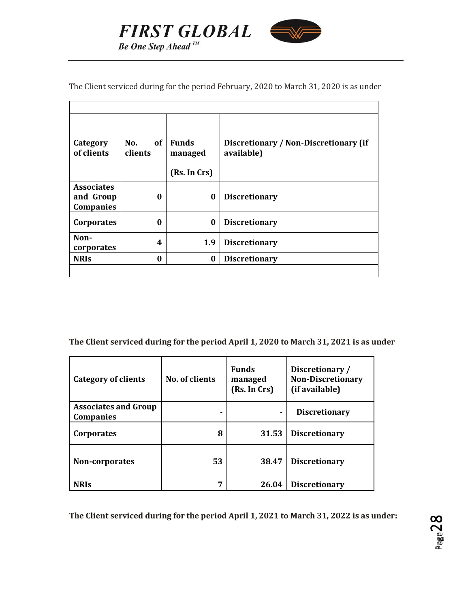



The Client serviced during for the period February, 2020 to March 31, 2020 is as under

| Category<br>of clients                      | of<br>No.<br>clients | <b>Funds</b><br>managed<br>(Rs. In Crs) | Discretionary / Non-Discretionary (if<br>available) |
|---------------------------------------------|----------------------|-----------------------------------------|-----------------------------------------------------|
| <b>Associates</b><br>and Group<br>Companies | 0                    | $\bf{0}$                                | <b>Discretionary</b>                                |
| Corporates                                  | 0                    | $\bf{0}$                                | <b>Discretionary</b>                                |
| Non-<br>corporates                          | 4                    | 1.9                                     | <b>Discretionary</b>                                |
| <b>NRIS</b>                                 | $\bf{0}$             | $\bf{0}$                                | <b>Discretionary</b>                                |
|                                             |                      |                                         |                                                     |

**The Client serviced during for the period April 1, 2020 to March 31, 2021 is as under**

| Category of clients                             | No. of clients | <b>Funds</b><br>managed<br>(Rs. In Crs) | Discretionary/<br><b>Non-Discretionary</b><br>(if available) |
|-------------------------------------------------|----------------|-----------------------------------------|--------------------------------------------------------------|
| <b>Associates and Group</b><br><b>Companies</b> |                |                                         | <b>Discretionary</b>                                         |
| Corporates                                      | 8              | 31.53                                   | <b>Discretionary</b>                                         |
| Non-corporates                                  | 53             | 38.47                                   | <b>Discretionary</b>                                         |
| <b>NRIS</b>                                     | 7              | 26.04                                   | <b>Discretionary</b>                                         |

**The Client serviced during for the period April 1, 2021 to March 31, 2022 is as under:**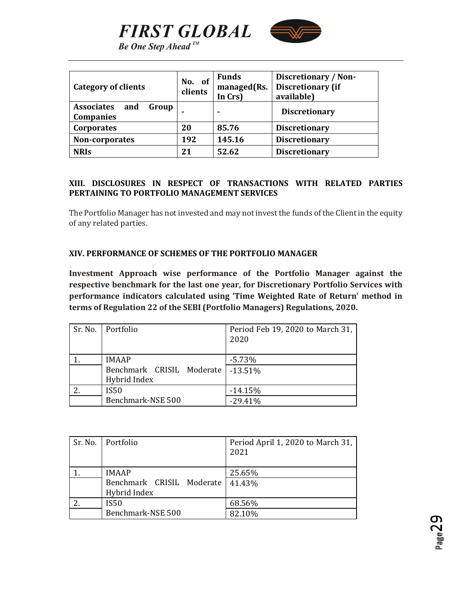

**Be One Step Ahead**<sup>IM</sup>

**FIRST GLOBAL** 

| Category of clients                                   | No. of<br>clients | <b>Funds</b><br>managed(Rs.<br>In Crs) | Discretionary / Non-<br><b>Discretionary (if</b><br>available) |
|-------------------------------------------------------|-------------------|----------------------------------------|----------------------------------------------------------------|
| <b>Associates</b><br>Group<br>and<br><b>Companies</b> |                   |                                        | <b>Discretionary</b>                                           |
| <b>Corporates</b>                                     | 20                | 85.76                                  | <b>Discretionary</b>                                           |
| Non-corporates                                        | 192               | 145.16                                 | <b>Discretionary</b>                                           |
| <b>NRIS</b>                                           | 21                | 52.62                                  | <b>Discretionary</b>                                           |

## <span id="page-28-0"></span>**XIII. DISCLOSURES IN RESPECT OF TRANSACTIONS WITH RELATED PARTIES PERTAINING TO PORTFOLIO MANAGEMENT SERVICES**

The Portfolio Manager has not invested and may not invest the funds of the Client in the equity of any related parties.

#### <span id="page-28-1"></span>**XIV. PERFORMANCE OF SCHEMES OF THE PORTFOLIO MANAGER**

**Investment Approach wise performance of the Portfolio Manager against the respective benchmark for the last one year, for Discretionary Portfolio Services with performance indicators calculated using 'Time Weighted Rate of Return' method in terms of Regulation 22 of the SEBI (Portfolio Managers) Regulations, 2020.** 

| Sr. No. Portfolio         | Period Feb 19, 2020 to March 31,<br>2020 |
|---------------------------|------------------------------------------|
|                           |                                          |
| <b>IMAAP</b>              | $-5.73%$                                 |
| Benchmark CRISIL Moderate | $-13.51%$                                |
| Hybrid Index              |                                          |
| <b>IS50</b>               | $-14.15%$                                |
| Benchmark-NSE 500         | $-29.41%$                                |

| Sr. No.   Portfolio       | Period April 1, 2020 to March 31,  <br>2021 |
|---------------------------|---------------------------------------------|
|                           |                                             |
| <b>IMAAP</b>              | 25.65%                                      |
| Benchmark CRISIL Moderate | 41.43%                                      |
| Hybrid Index              |                                             |
| <b>IS50</b>               | 68.56%                                      |
| Benchmark-NSE 500         | 82.10%                                      |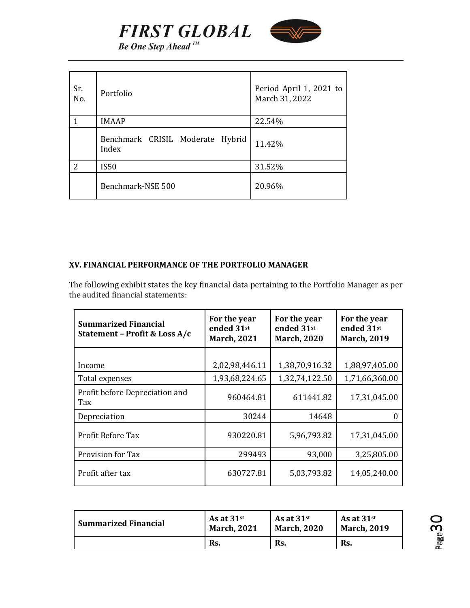

**Be One Step Ahead**<sup>IM</sup>

| Sr.<br>No.    | Portfolio                                 | Period April 1, 2021 to<br>March 31, 2022 |
|---------------|-------------------------------------------|-------------------------------------------|
|               | <b>IMAAP</b>                              | 22.54%                                    |
|               | Benchmark CRISIL Moderate Hybrid<br>Index | 11.42%                                    |
| $\mathcal{P}$ | <b>IS50</b>                               | 31.52%                                    |
|               | Benchmark-NSE 500                         | 20.96%                                    |

## <span id="page-29-0"></span>**XV. FINANCIAL PERFORMANCE OF THE PORTFOLIO MANAGER**

The following exhibit states the key financial data pertaining to the Portfolio Manager as per the audited financial statements:

| <b>Summarized Financial</b><br>Statement - Profit & Loss A/c | For the year<br>ended 31st<br><b>March, 2021</b> | For the year<br>ended 31st<br><b>March, 2020</b> | For the year<br>ended 31st<br><b>March, 2019</b> |
|--------------------------------------------------------------|--------------------------------------------------|--------------------------------------------------|--------------------------------------------------|
|                                                              |                                                  |                                                  |                                                  |
| Income                                                       | 2,02,98,446.11                                   | 1,38,70,916.32                                   | 1,88,97,405.00                                   |
| Total expenses                                               | 1,93,68,224.65                                   | 1,32,74,122.50                                   | 1,71,66,360.00                                   |
| Profit before Depreciation and<br>Tax                        | 960464.81                                        | 611441.82                                        | 17,31,045.00                                     |
| Depreciation                                                 | 30244                                            | 14648                                            |                                                  |
| Profit Before Tax                                            | 930220.81                                        | 5,96,793.82                                      | 17,31,045.00                                     |
| Provision for Tax                                            | 299493                                           | 93,000                                           | 3,25,805.00                                      |
| Profit after tax                                             | 630727.81                                        | 5,03,793.82                                      | 14,05,240.00                                     |

| <b>Summarized Financial</b> | As at $31$ <sup>st</sup> | As at $31$ <sup>st</sup> | As at $31$ <sup>st</sup> |
|-----------------------------|--------------------------|--------------------------|--------------------------|
|                             | <b>March, 2021</b>       | <b>March, 2020</b>       | <b>March, 2019</b>       |
|                             | Rs.                      | Rs.                      | Rs.                      |

Page<sup>3</sup>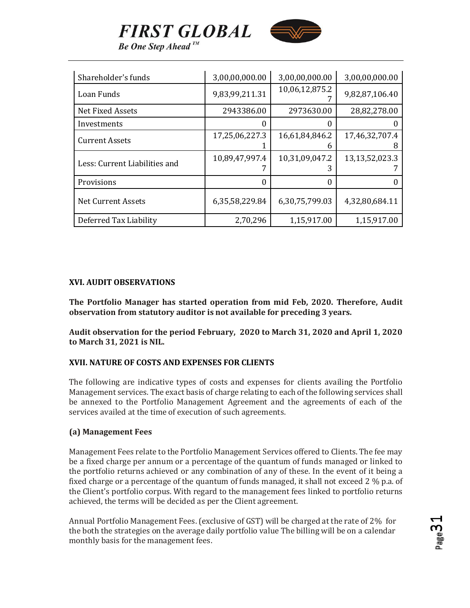

**FIRST GLOBAL Be One Step Ahead**<sup>IM</sup>

| Shareholder's funds           | 3,00,00,000.00 | 3,00,00,000.00      | 3,00,00,000.00      |
|-------------------------------|----------------|---------------------|---------------------|
| Loan Funds                    | 9,83,99,211.31 | 10,06,12,875.2      | 9,82,87,106.40      |
| Net Fixed Assets              | 2943386.00     | 2973630.00          | 28,82,278.00        |
| Investments                   |                |                     |                     |
| <b>Current Assets</b>         | 17,25,06,227.3 | 16,61,84,846.2<br>n | 17,46,32,707.4<br>8 |
| Less: Current Liabilities and | 10,89,47,997.4 | 10,31,09,047.2<br>3 | 13,13,52,023.3      |
| Provisions                    | 0              | 0                   | 0                   |
| <b>Net Current Assets</b>     | 6,35,58,229.84 | 6,30,75,799.03      | 4,32,80,684.11      |
| Deferred Tax Liability        | 2,70,296       | 1,15,917.00         | 1,15,917.00         |

#### <span id="page-30-0"></span>**XVI. AUDIT OBSERVATIONS**

**The Portfolio Manager has started operation from mid Feb, 2020. Therefore, Audit observation from statutory auditor is not available for preceding 3 years.** 

**Audit observation for the period February, 2020 to March 31, 2020 and April 1, 2020 to March 31, 2021 is NIL.**

#### <span id="page-30-1"></span>**XVII. NATURE OF COSTS AND EXPENSES FOR CLIENTS**

The following are indicative types of costs and expenses for clients availing the Portfolio Management services. The exact basis of charge relating to each of the following services shall be annexed to the Portfolio Management Agreement and the agreements of each of the services availed at the time of execution of such agreements.

#### **(a) Management Fees**

Management Fees relate to the Portfolio Management Services offered to Clients. The fee may be a fixed charge per annum or a percentage of the quantum of funds managed or linked to the portfolio returns achieved or any combination of any of these. In the event of it being a fixed charge or a percentage of the quantum of funds managed, it shall not exceed 2 % p.a. of the Client's portfolio corpus. With regard to the management fees linked to portfolio returns achieved, the terms will be decided as per the Client agreement.

Annual Portfolio Management Fees. (exclusive of GST) will be charged at the rate of 2% for the both the strategies on the average daily portfolio value The billing will be on a calendar monthly basis for the management fees.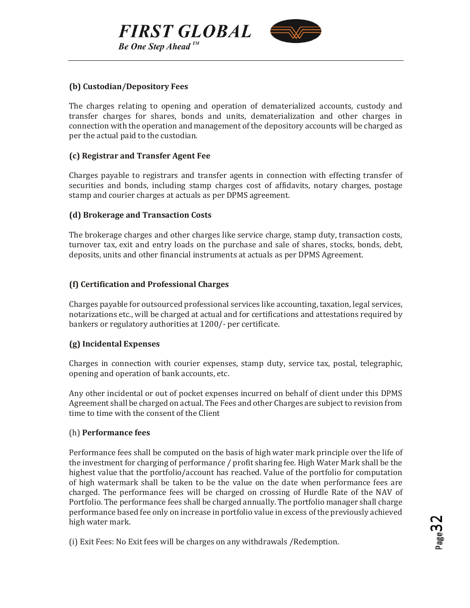**Be One Step Ahead**<sup>IM</sup>

**FIRST GLOBAL** 



#### **(b) Custodian/Depository Fees**

The charges relating to opening and operation of dematerialized accounts, custody and transfer charges for shares, bonds and units, dematerialization and other charges in connection with the operation and management of the depository accounts will be charged as per the actual paid to the custodian.

#### **(c) Registrar and Transfer Agent Fee**

Charges payable to registrars and transfer agents in connection with effecting transfer of securities and bonds, including stamp charges cost of affidavits, notary charges, postage stamp and courier charges at actuals as per DPMS agreement.

#### **(d) Brokerage and Transaction Costs**

The brokerage charges and other charges like service charge, stamp duty, transaction costs, turnover tax, exit and entry loads on the purchase and sale of shares, stocks, bonds, debt, deposits, units and other financial instruments at actuals as per DPMS Agreement.

## **(f) Certification and Professional Charges**

Charges payable for outsourced professional services like accounting, taxation, legal services, notarizations etc., will be charged at actual and for certifications and attestations required by bankers or regulatory authorities at 1200/- per certificate.

## **(g) Incidental Expenses**

Charges in connection with courier expenses, stamp duty, service tax, postal, telegraphic, opening and operation of bank accounts, etc.

Any other incidental or out of pocket expenses incurred on behalf of client under this DPMS Agreement shall be charged on actual. The Fees and other Charges are subject to revision from time to time with the consent of the Client

#### (h) **Performance fees**

Performance fees shall be computed on the basis of high water mark principle over the life of the investment for charging of performance / profit sharing fee. High Water Mark shall be the highest value that the portfolio/account has reached. Value of the portfolio for computation of high watermark shall be taken to be the value on the date when performance fees are charged. The performance fees will be charged on crossing of Hurdle Rate of the NAV of Portfolio. The performance fees shall be charged annually. The portfolio manager shall charge performance based fee only on increase in portfolio value in excess of the previously achieved high water mark.

(i) Exit Fees: No Exit fees will be charges on any withdrawals /Redemption.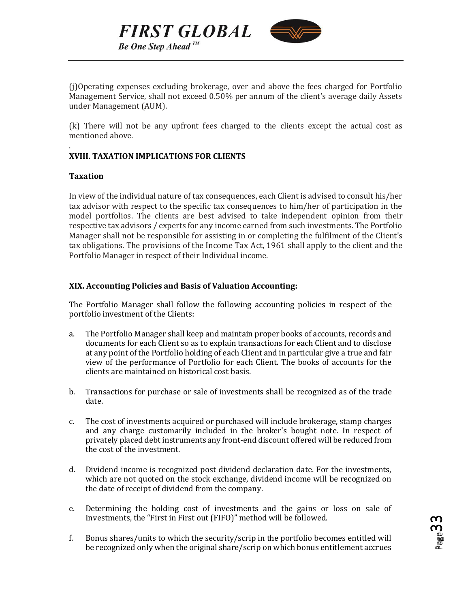



(j)Operating expenses excluding brokerage, over and above the fees charged for Portfolio Management Service, shall not exceed 0.50% per annum of the client's average daily Assets under Management (AUM).

(k) There will not be any upfront fees charged to the clients except the actual cost as mentioned above.

## <span id="page-32-0"></span>**XVIII. TAXATION IMPLICATIONS FOR CLIENTS**

#### **Taxation**

.

In view of the individual nature of tax consequences, each Client is advised to consult his/her tax advisor with respect to the specific tax consequences to him/her of participation in the model portfolios. The clients are best advised to take independent opinion from their respective tax advisors / experts for any income earned from such investments. The Portfolio Manager shall not be responsible for assisting in or completing the fulfilment of the Client's tax obligations. The provisions of the Income Tax Act, 1961 shall apply to the client and the Portfolio Manager in respect of their Individual income.

#### <span id="page-32-1"></span>**XIX. Accounting Policies and Basis of Valuation Accounting:**

The Portfolio Manager shall follow the following accounting policies in respect of the portfolio investment of the Clients:

- a. The Portfolio Manager shall keep and maintain proper books of accounts, records and documents for each Client so as to explain transactions for each Client and to disclose at any point of the Portfolio holding of each Client and in particular give a true and fair view of the performance of Portfolio for each Client. The books of accounts for the clients are maintained on historical cost basis.
- b. Transactions for purchase or sale of investments shall be recognized as of the trade date.
- c. The cost of investments acquired or purchased will include brokerage, stamp charges and any charge customarily included in the broker's bought note. In respect of privately placed debt instruments any front-end discount offered will be reduced from the cost of the investment.
- d. Dividend income is recognized post dividend declaration date. For the investments, which are not quoted on the stock exchange, dividend income will be recognized on the date of receipt of dividend from the company.
- e. Determining the holding cost of investments and the gains or loss on sale of Investments, the "First in First out (FIFO)" method will be followed.
- f. Bonus shares/units to which the security/scrip in the portfolio becomes entitled will be recognized only when the original share/scrip on which bonus entitlement accrues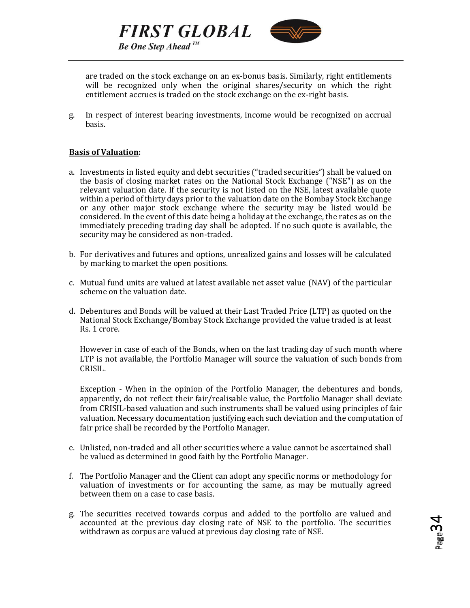



are traded on the stock exchange on an ex-bonus basis. Similarly, right entitlements will be recognized only when the original shares/security on which the right entitlement accrues is traded on the stock exchange on the ex-right basis.

g. In respect of interest bearing investments, income would be recognized on accrual basis.

#### **Basis of Valuation:**

- a. Investments in listed equity and debt securities ("traded securities") shall be valued on the basis of closing market rates on the National Stock Exchange ("NSE") as on the relevant valuation date. If the security is not listed on the NSE, latest available quote within a period of thirty days prior to the valuation date on the Bombay Stock Exchange or any other major stock exchange where the security may be listed would be considered. In the event of this date being a holiday at the exchange, the rates as on the immediately preceding trading day shall be adopted. If no such quote is available, the security may be considered as non-traded.
- b. For derivatives and futures and options, unrealized gains and losses will be calculated by marking to market the open positions.
- c. Mutual fund units are valued at latest available net asset value (NAV) of the particular scheme on the valuation date.
- d. Debentures and Bonds will be valued at their Last Traded Price (LTP) as quoted on the National Stock Exchange/Bombay Stock Exchange provided the value traded is at least Rs. 1 crore.

However in case of each of the Bonds, when on the last trading day of such month where LTP is not available, the Portfolio Manager will source the valuation of such bonds from CRISIL.

Exception - When in the opinion of the Portfolio Manager, the debentures and bonds, apparently, do not reflect their fair/realisable value, the Portfolio Manager shall deviate from CRISIL-based valuation and such instruments shall be valued using principles of fair valuation. Necessary documentation justifying each such deviation and the computation of fair price shall be recorded by the Portfolio Manager.

- e. Unlisted, non-traded and all other securities where a value cannot be ascertained shall be valued as determined in good faith by the Portfolio Manager.
- f. The Portfolio Manager and the Client can adopt any specific norms or methodology for valuation of investments or for accounting the same, as may be mutually agreed between them on a case to case basis.
- g. The securities received towards corpus and added to the portfolio are valued and accounted at the previous day closing rate of NSE to the portfolio. The securities withdrawn as corpus are valued at previous day closing rate of NSE.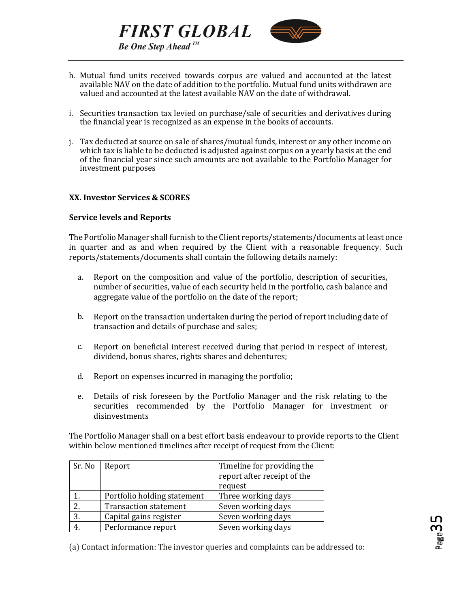



- h. Mutual fund units received towards corpus are valued and accounted at the latest available NAV on the date of addition to the portfolio. Mutual fund units withdrawn are valued and accounted at the latest available NAV on the date of withdrawal.
- i. Securities transaction tax levied on purchase/sale of securities and derivatives during the financial year is recognized as an expense in the books of accounts.
- j. Tax deducted at source on sale of shares/mutual funds, interest or any other income on which tax is liable to be deducted is adjusted against corpus on a yearly basis at the end of the financial year since such amounts are not available to the Portfolio Manager for investment purposes

#### <span id="page-34-0"></span>**XX. Investor Services & SCORES**

#### **Service levels and Reports**

The Portfolio Manager shall furnish to the Client reports/statements/documents at least once in quarter and as and when required by the Client with a reasonable frequency. Such reports/statements/documents shall contain the following details namely:

- a. Report on the composition and value of the portfolio, description of securities, number of securities, value of each security held in the portfolio, cash balance and aggregate value of the portfolio on the date of the report;
- b. Report on the transaction undertaken during the period of report including date of transaction and details of purchase and sales;
- c. Report on beneficial interest received during that period in respect of interest, dividend, bonus shares, rights shares and debentures;
- d. Report on expenses incurred in managing the portfolio;
- e. Details of risk foreseen by the Portfolio Manager and the risk relating to the securities recommended by the Portfolio Manager for investment or disinvestments

The Portfolio Manager shall on a best effort basis endeavour to provide reports to the Client within below mentioned timelines after receipt of request from the Client:

| Sr. No | Report                       | Timeline for providing the  |
|--------|------------------------------|-----------------------------|
|        |                              | report after receipt of the |
|        |                              | request                     |
|        | Portfolio holding statement  | Three working days          |
|        | <b>Transaction statement</b> | Seven working days          |
| 3.     | Capital gains register       | Seven working days          |
|        | Performance report           | Seven working days          |

(a) Contact information: The investor queries and complaints can be addressed to: